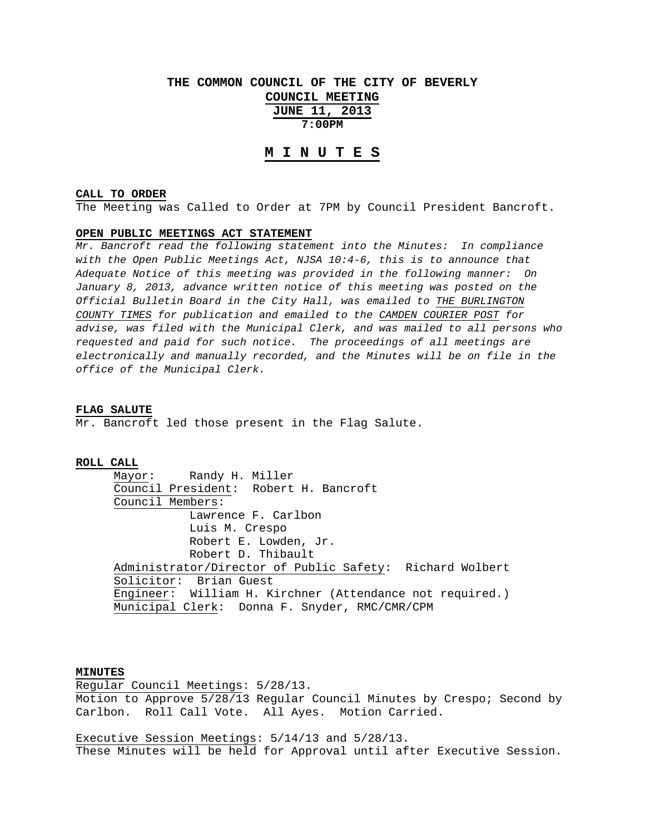# **THE COMMON COUNCIL OF THE CITY OF BEVERLY COUNCIL MEETING JUNE 11, 2013 7:00PM**

# **M I N U T E S**

### **CALL TO ORDER**

The Meeting was Called to Order at 7PM by Council President Bancroft.

### **OPEN PUBLIC MEETINGS ACT STATEMENT**

*Mr. Bancroft read the following statement into the Minutes: In compliance with the Open Public Meetings Act, NJSA 10:4-6, this is to announce that Adequate Notice of this meeting was provided in the following manner: On January 8, 2013, advance written notice of this meeting was posted on the Official Bulletin Board in the City Hall, was emailed to THE BURLINGTON COUNTY TIMES for publication and emailed to the CAMDEN COURIER POST for advise, was filed with the Municipal Clerk, and was mailed to all persons who requested and paid for such notice. The proceedings of all meetings are electronically and manually recorded, and the Minutes will be on file in the office of the Municipal Clerk.* 

#### **FLAG SALUTE**

Mr. Bancroft led those present in the Flag Salute.

### **ROLL CALL**

 Mayor: Randy H. Miller Council President: Robert H. Bancroft Council Members: Lawrence F. Carlbon Luis M. Crespo Robert E. Lowden, Jr. Robert D. Thibault Administrator/Director of Public Safety: Richard Wolbert Solicitor: Brian Guest Engineer: William H. Kirchner (Attendance not required.) Municipal Clerk: Donna F. Snyder, RMC/CMR/CPM

# **MINUTES**

Regular Council Meetings: 5/28/13. Motion to Approve 5/28/13 Regular Council Minutes by Crespo; Second by Carlbon. Roll Call Vote. All Ayes. Motion Carried.

Executive Session Meetings: 5/14/13 and 5/28/13. These Minutes will be held for Approval until after Executive Session.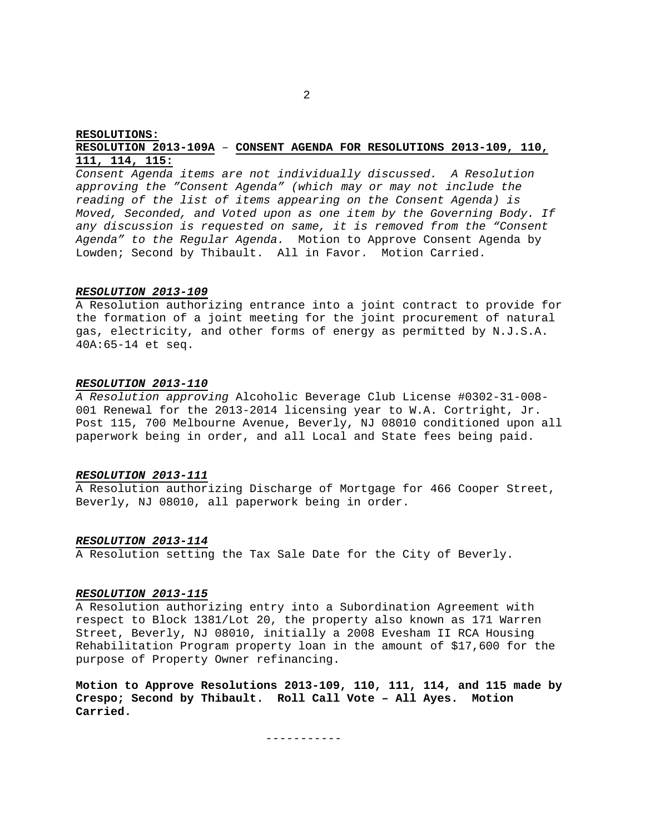### **RESOLUTIONS: RESOLUTION 2013-109A** – **CONSENT AGENDA FOR RESOLUTIONS 2013-109, 110, 111, 114, 115:**

*Consent Agenda items are not individually discussed. A Resolution approving the "Consent Agenda" (which may or may not include the reading of the list of items appearing on the Consent Agenda) is Moved, Seconded, and Voted upon as one item by the Governing Body. If any discussion is requested on same, it is removed from the "Consent Agenda" to the Regular Agenda.* Motion to Approve Consent Agenda by Lowden; Second by Thibault. All in Favor. Motion Carried.

#### *RESOLUTION 2013-109*

A Resolution authorizing entrance into a joint contract to provide for the formation of a joint meeting for the joint procurement of natural gas, electricity, and other forms of energy as permitted by N.J.S.A. 40A:65-14 et seq.

#### *RESOLUTION 2013-110*

*A Resolution approving* Alcoholic Beverage Club License #0302-31-008- 001 Renewal for the 2013-2014 licensing year to W.A. Cortright, Jr. Post 115, 700 Melbourne Avenue, Beverly, NJ 08010 conditioned upon all paperwork being in order, and all Local and State fees being paid.

### *RESOLUTION 2013-111*

A Resolution authorizing Discharge of Mortgage for 466 Cooper Street, Beverly, NJ 08010, all paperwork being in order.

### *RESOLUTION 2013-114*

A Resolution setting the Tax Sale Date for the City of Beverly.

### *RESOLUTION 2013-115*

A Resolution authorizing entry into a Subordination Agreement with respect to Block 1381/Lot 20, the property also known as 171 Warren Street, Beverly, NJ 08010, initially a 2008 Evesham II RCA Housing Rehabilitation Program property loan in the amount of \$17,600 for the purpose of Property Owner refinancing.

**Motion to Approve Resolutions 2013-109, 110, 111, 114, and 115 made by Crespo; Second by Thibault. Roll Call Vote – All Ayes. Motion Carried.** 

-----------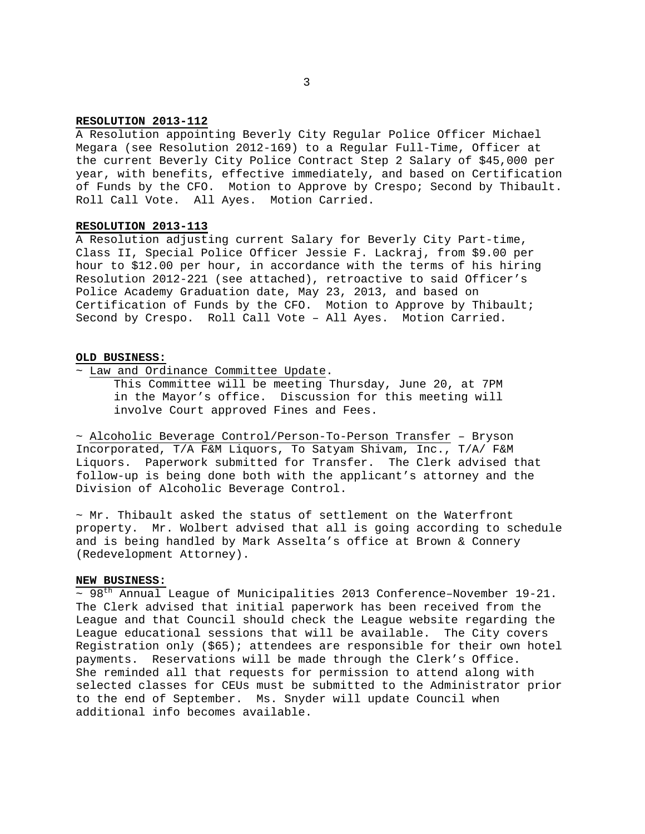### **RESOLUTION 2013-112**

A Resolution appointing Beverly City Regular Police Officer Michael Megara (see Resolution 2012-169) to a Regular Full-Time, Officer at the current Beverly City Police Contract Step 2 Salary of \$45,000 per year, with benefits, effective immediately, and based on Certification of Funds by the CFO. Motion to Approve by Crespo; Second by Thibault. Roll Call Vote. All Ayes. Motion Carried.

# **RESOLUTION 2013-113**

A Resolution adjusting current Salary for Beverly City Part-time, Class II, Special Police Officer Jessie F. Lackraj, from \$9.00 per hour to \$12.00 per hour, in accordance with the terms of his hiring Resolution 2012-221 (see attached), retroactive to said Officer's Police Academy Graduation date, May 23, 2013, and based on Certification of Funds by the CFO. Motion to Approve by Thibault; Second by Crespo. Roll Call Vote – All Ayes. Motion Carried.

### **OLD BUSINESS:**

~ Law and Ordinance Committee Update.

 This Committee will be meeting Thursday, June 20, at 7PM in the Mayor's office. Discussion for this meeting will involve Court approved Fines and Fees.

~ Alcoholic Beverage Control/Person-To-Person Transfer – Bryson Incorporated, T/A F&M Liquors, To Satyam Shivam, Inc., T/A/ F&M Liquors. Paperwork submitted for Transfer. The Clerk advised that follow-up is being done both with the applicant's attorney and the Division of Alcoholic Beverage Control.

 $~\sim$  Mr. Thibault asked the status of settlement on the Waterfront property. Mr. Wolbert advised that all is going according to schedule and is being handled by Mark Asselta's office at Brown & Connery (Redevelopment Attorney).

### **NEW BUSINESS:**

 $\sim$  98<sup>th</sup> Annual League of Municipalities 2013 Conference-November 19-21. The Clerk advised that initial paperwork has been received from the League and that Council should check the League website regarding the League educational sessions that will be available. The City covers Registration only (\$65); attendees are responsible for their own hotel payments. Reservations will be made through the Clerk's Office. She reminded all that requests for permission to attend along with selected classes for CEUs must be submitted to the Administrator prior to the end of September. Ms. Snyder will update Council when additional info becomes available.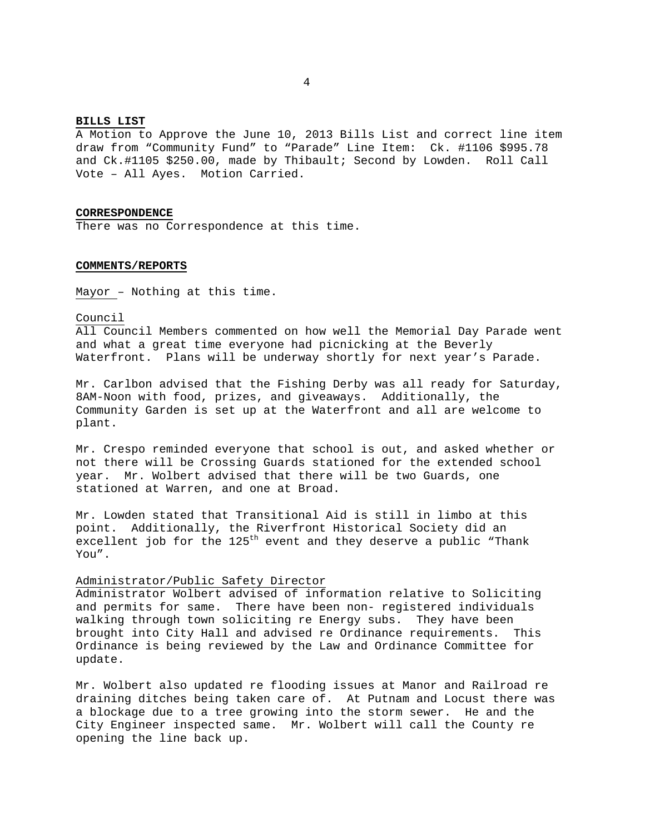#### **BILLS LIST**

A Motion to Approve the June 10, 2013 Bills List and correct line item draw from "Community Fund" to "Parade" Line Item: Ck. #1106 \$995.78 and Ck.#1105 \$250.00, made by Thibault; Second by Lowden. Roll Call Vote – All Ayes. Motion Carried.

### **CORRESPONDENCE**

There was no Correspondence at this time.

### **COMMENTS/REPORTS**

Mayor – Nothing at this time.

#### Council

All Council Members commented on how well the Memorial Day Parade went and what a great time everyone had picnicking at the Beverly Waterfront. Plans will be underway shortly for next year's Parade.

Mr. Carlbon advised that the Fishing Derby was all ready for Saturday, 8AM-Noon with food, prizes, and giveaways. Additionally, the Community Garden is set up at the Waterfront and all are welcome to plant.

Mr. Crespo reminded everyone that school is out, and asked whether or not there will be Crossing Guards stationed for the extended school year. Mr. Wolbert advised that there will be two Guards, one stationed at Warren, and one at Broad.

Mr. Lowden stated that Transitional Aid is still in limbo at this point. Additionally, the Riverfront Historical Society did an excellent job for the  $125<sup>th</sup>$  event and they deserve a public "Thank You".

### Administrator/Public Safety Director

Administrator Wolbert advised of information relative to Soliciting and permits for same. There have been non- registered individuals walking through town soliciting re Energy subs. They have been brought into City Hall and advised re Ordinance requirements. This Ordinance is being reviewed by the Law and Ordinance Committee for update.

Mr. Wolbert also updated re flooding issues at Manor and Railroad re draining ditches being taken care of. At Putnam and Locust there was a blockage due to a tree growing into the storm sewer. He and the City Engineer inspected same. Mr. Wolbert will call the County re opening the line back up.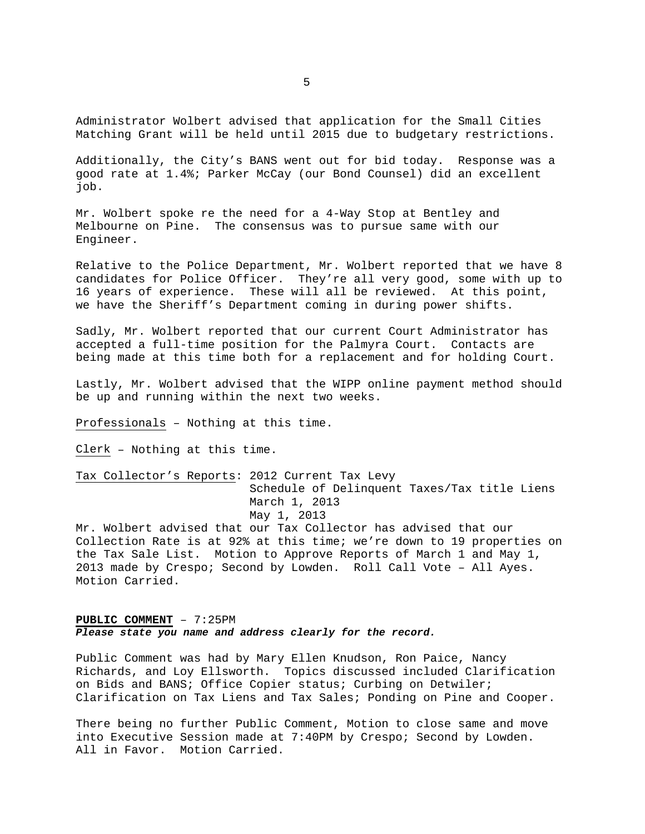Administrator Wolbert advised that application for the Small Cities Matching Grant will be held until 2015 due to budgetary restrictions.

Additionally, the City's BANS went out for bid today. Response was a good rate at 1.4%; Parker McCay (our Bond Counsel) did an excellent job.

Mr. Wolbert spoke re the need for a 4-Way Stop at Bentley and Melbourne on Pine. The consensus was to pursue same with our Engineer.

Relative to the Police Department, Mr. Wolbert reported that we have 8 candidates for Police Officer. They're all very good, some with up to 16 years of experience. These will all be reviewed. At this point, we have the Sheriff's Department coming in during power shifts.

Sadly, Mr. Wolbert reported that our current Court Administrator has accepted a full-time position for the Palmyra Court. Contacts are being made at this time both for a replacement and for holding Court.

Lastly, Mr. Wolbert advised that the WIPP online payment method should be up and running within the next two weeks.

Professionals – Nothing at this time.

Clerk – Nothing at this time.

Tax Collector's Reports: 2012 Current Tax Levy Schedule of Delinquent Taxes/Tax title Liens March 1, 2013 May 1, 2013

Mr. Wolbert advised that our Tax Collector has advised that our Collection Rate is at 92% at this time; we're down to 19 properties on the Tax Sale List. Motion to Approve Reports of March 1 and May 1, 2013 made by Crespo; Second by Lowden. Roll Call Vote – All Ayes. Motion Carried.

# **PUBLIC COMMENT** – 7:25PM *Please state you name and address clearly for the record.*

Public Comment was had by Mary Ellen Knudson, Ron Paice, Nancy Richards, and Loy Ellsworth. Topics discussed included Clarification on Bids and BANS; Office Copier status; Curbing on Detwiler; Clarification on Tax Liens and Tax Sales; Ponding on Pine and Cooper.

There being no further Public Comment, Motion to close same and move into Executive Session made at 7:40PM by Crespo; Second by Lowden. All in Favor. Motion Carried.